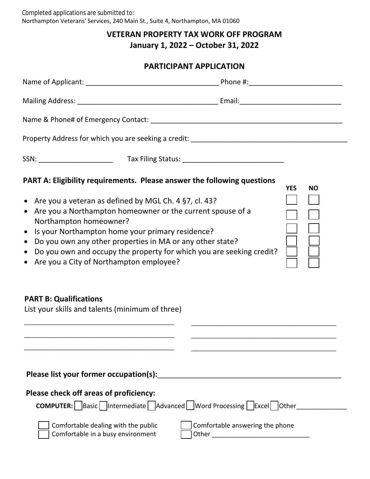## **VETERAN PROPERTY TAX WORK OFF PROGRAM**

**January 1, 2022 – October 31, 2022**

## **PARTICIPANT APPLICATION**

| PART A: Eligibility requirements. Please answer the following questions<br>• Are you a veteran as defined by MGL Ch. 4 §7, cl. 43?<br>Are you a Northampton homeowner or the current spouse of a<br>$\bullet$<br>Northampton homeowner?<br>Is your Northampton home your primary residence?<br>$\bullet$<br>• Do you own any other properties in MA or any other state?<br>Do you own and occupy the property for which you are seeking credit?<br>$\bullet$<br>Are you a City of Northampton employee?<br>$\bullet$ | <b>YES</b><br><b>NO</b>         |
|----------------------------------------------------------------------------------------------------------------------------------------------------------------------------------------------------------------------------------------------------------------------------------------------------------------------------------------------------------------------------------------------------------------------------------------------------------------------------------------------------------------------|---------------------------------|
| <b>PART B: Qualifications</b><br>List your skills and talents (minimum of three)                                                                                                                                                                                                                                                                                                                                                                                                                                     |                                 |
| Please check off areas of proficiency:<br><b>COMPUTER:</b> Basic   Intermediate   Advanced   Word Processing   Excel   Other                                                                                                                                                                                                                                                                                                                                                                                         |                                 |
| Comfortable dealing with the public<br>Comfortable in a busy environment                                                                                                                                                                                                                                                                                                                                                                                                                                             | Comfortable answering the phone |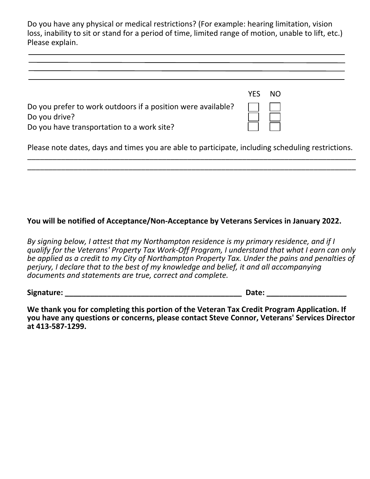Do you have any physical or medical restrictions? (For example: hearing limitation, vision loss, inability to sit or stand for a period of time, limited range of motion, unable to lift, etc.) Please explain.

|                                                                                                                             | YFS. | NO. |
|-----------------------------------------------------------------------------------------------------------------------------|------|-----|
| Do you prefer to work outdoors if a position were available?<br>Do you drive?<br>Do you have transportation to a work site? |      |     |
| Please note dates, days and times you are able to participate, including scheduling restrictions.                           |      |     |

\_\_\_\_\_\_\_\_\_\_\_\_\_\_\_\_\_\_\_\_\_\_\_\_\_\_\_\_\_\_\_\_\_\_\_\_\_\_\_\_\_\_\_\_\_\_\_\_\_\_\_\_\_\_\_\_\_\_\_\_\_\_\_\_\_\_\_\_\_\_\_\_\_\_\_\_\_\_ \_\_\_\_\_\_\_\_\_\_\_\_\_\_\_\_\_\_\_\_\_\_\_\_\_\_\_\_\_\_\_\_\_\_\_\_\_\_\_\_\_\_\_\_\_\_\_\_\_\_\_\_\_\_\_\_\_\_\_\_\_\_\_\_\_\_\_\_\_\_\_\_\_\_\_\_\_\_

## **You will be notified of Acceptance/Non-Acceptance by Veterans Services in January 2022.**

*By signing below, I attest that my Northampton residence is my primary residence, and if I qualify for the Veterans' Property Tax Work-Off Program, I understand that what I earn can only be applied as a credit to my City of Northampton Property Tax. Under the pains and penalties of perjury, I declare that to the best of my knowledge and belief, it and all accompanying documents and statements are true, correct and complete.*

**Signature: \_\_\_\_\_\_\_\_\_\_\_\_\_\_\_\_\_\_\_\_\_\_\_\_\_\_\_\_\_\_\_\_\_\_\_\_\_\_\_\_\_\_ Date: \_\_\_\_\_\_\_\_\_\_\_\_\_\_\_\_\_\_\_**

**We thank you for completing this portion of the Veteran Tax Credit Program Application. If you have any questions or concerns, please contact Steve Connor, Veterans' Services Director at 413-587-1299.**